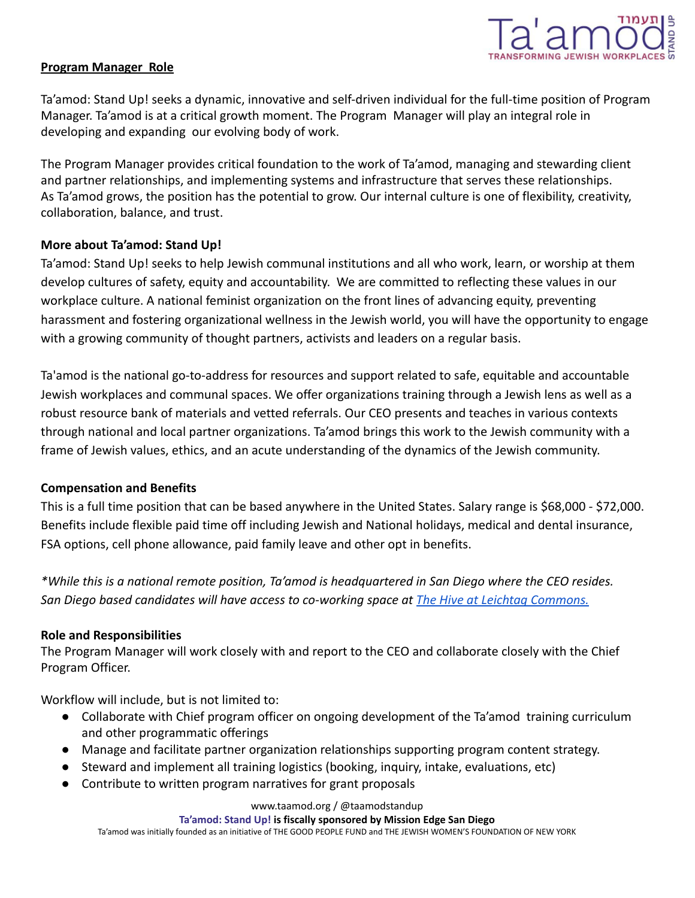

### **Program Manager Role**

Ta'amod: Stand Up! seeks a dynamic, innovative and self-driven individual for the full-time position of Program Manager. Ta'amod is at a critical growth moment. The Program Manager will play an integral role in developing and expanding our evolving body of work.

The Program Manager provides critical foundation to the work of Ta'amod, managing and stewarding client and partner relationships, and implementing systems and infrastructure that serves these relationships. As Ta'amod grows, the position has the potential to grow. Our internal culture is one of flexibility, creativity, collaboration, balance, and trust.

# **More about Ta'amod: Stand Up!**

Ta'amod: Stand Up! seeks to help Jewish communal institutions and all who work, learn, or worship at them develop cultures of safety, equity and accountability. We are committed to reflecting these values in our workplace culture. A national feminist organization on the front lines of advancing equity, preventing harassment and fostering organizational wellness in the Jewish world, you will have the opportunity to engage with a growing community of thought partners, activists and leaders on a regular basis.

Ta'amod is the national go-to-address for resources and support related to safe, equitable and accountable Jewish workplaces and communal spaces. We offer organizations training through a Jewish lens as well as a robust resource bank of materials and vetted referrals. Our CEO presents and teaches in various contexts through national and local partner organizations. Ta'amod brings this work to the Jewish community with a frame of Jewish values, ethics, and an acute understanding of the dynamics of the Jewish community.

# **Compensation and Benefits**

This is a full time position that can be based anywhere in the United States. Salary range is \$68,000 - \$72,000. Benefits include flexible paid time off including Jewish and National holidays, medical and dental insurance, FSA options, cell phone allowance, paid family leave and other opt in benefits.

*\*While this is a national remote position, Ta'amod is headquartered in San Diego where the CEO resides. San Diego based candidates will have access to co-working space at The Hive at Leichtag Commons.*

# **Role and Responsibilities**

The Program Manager will work closely with and report to the CEO and collaborate closely with the Chief Program Officer.

Workflow will include, but is not limited to:

- Collaborate with Chief program officer on ongoing development of the Ta'amod training curriculum and other programmatic offerings
- Manage and facilitate partner organization relationships supporting program content strategy.
- Steward and implement all training logistics (booking, inquiry, intake, evaluations, etc)
- Contribute to written program narratives for grant proposals

www.taamod.org / @taamodstandup

### **Ta'amod: Stand Up! is fiscally sponsored by Mission Edge San Diego**

Ta'amod was initially founded as an initiative of THE GOOD PEOPLE FUND and THE JEWISH WOMEN'S FOUNDATION OF NEW YORK